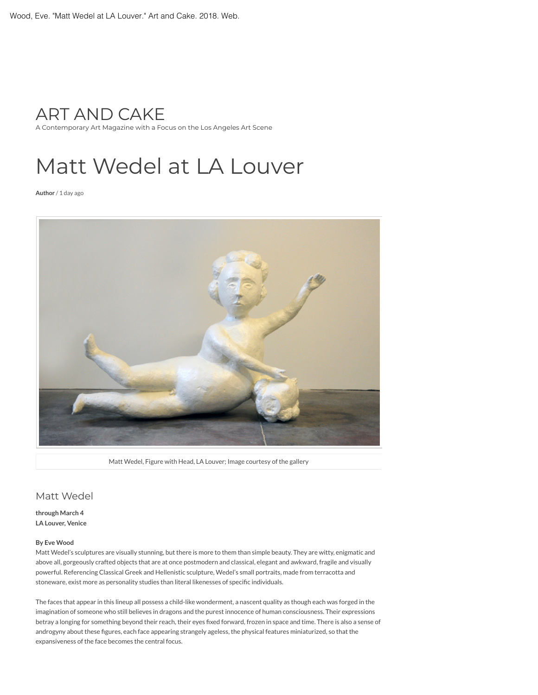

A Contemporary Art Magazine wit[h a Focus on the Lo](http://shoeboxprojects.com/)[s Angeles Art Scene](https://shoeboxpr.com/l-a-artist-resources/)

## Matt Wedel at LA Louver

**[Author](https://artandcakela.com/author/graciekendal-2/)** / [1 day ago](https://artandcakela.com/2018/02/26/matt-wedel-at-la-louver/)



Matt Wedel, Figure with Head, LA Louver; Image courtesy of the gallery

## Matt Wedel

**through March 4 LA Louver, Venice**

## **By Eve Wood**

Matt Wedel's sculptures are visually stunning, but there is more to them than simple beauty. They are witty, enigmatic and above all, gorgeously crafted objects that are at once postmodern and classical, elegant and awkward, fragile and visually powerful. Referencing Classical Greek and Hellenistic sculpture, Wedel's small portraits, made from terracotta and stoneware, exist more as personality studies than literal likenesses of specific individuals.

The faces that appear in this lineup all possess a child-like wonderment, a nascent quality as though each was forged in the imagination of someone who still believes in dragons and the purest innocence of human consciousness. Their expressions betray a longing for something beyond their reach, their eyes fixed forward, frozen in space and time. There is also a sense of androgyny about these figures, each face appearing strangely ageless, the physical features miniaturized, so that the expansiveness of the face becomes the central focus.